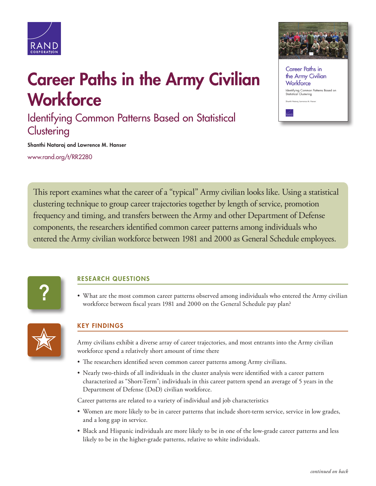

## Career Paths in the Army Civilian **Workforce**

Identifying Common Patterns Based on Statistical **Clustering** 

Career Paths in the Army Civilian Workforce Identifying Common Patterns Based on<br>Statistical Clustering Shanthi Natarai Tawrence M. Hanse

Shanthi Nataraj and Lawrence M. Hanser

[www.rand.org/t/RR2280](http://www.rand.org/t/RR2280)

This report examines what the career of a "typical" Army civilian looks like. Using a statistical clustering technique to group career trajectories together by length of service, promotion frequency and timing, and transfers between the Army and other Department of Defense components, the researchers identified common career patterns among individuals who entered the Army civilian workforce between 1981 and 2000 as General Schedule employees.



## RESEARCH QUESTIONS

• What are the most common career patterns observed among individuals who entered the Army civilian workforce between fiscal years 1981 and 2000 on the General Schedule pay plan?



## KEY FINDINGS

Army civilians exhibit a diverse array of career trajectories, and most entrants into the Army civilian workforce spend a relatively short amount of time there

- The researchers identified seven common career patterns among Army civilians.
- Nearly two-thirds of all individuals in the cluster analysis were identified with a career pattern characterized as "Short-Term"; individuals in this career pattern spend an average of 5 years in the Department of Defense (DoD) civilian workforce.

Career patterns are related to a variety of individual and job characteristics

- Women are more likely to be in career patterns that include short-term service, service in low grades, and a long gap in service.
- Black and Hispanic individuals are more likely to be in one of the low-grade career patterns and less likely to be in the higher-grade patterns, relative to white individuals.